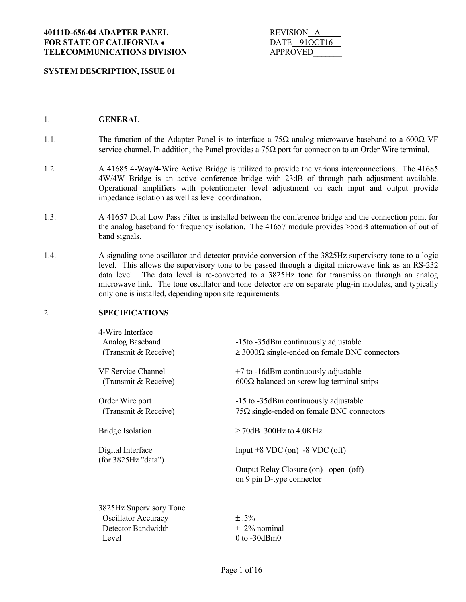# **SYSTEM DESCRIPTION, ISSUE 01**

| REVISION A |              |
|------------|--------------|
|            | DATE 910CT16 |
| APPROVED   |              |

## 1. **GENERAL**

- 1.1. The function of the Adapter Panel is to interface a 75 $\Omega$  analog microwave baseband to a 600 $\Omega$  VF service channel. In addition, the Panel provides a  $75\Omega$  port for connection to an Order Wire terminal.
- 1.2. A 41685 4-Way/4-Wire Active Bridge is utilized to provide the various interconnections. The 41685 4W/4W Bridge is an active conference bridge with 23dB of through path adjustment available. Operational amplifiers with potentiometer level adjustment on each input and output provide impedance isolation as well as level coordination.
- 1.3. A 41657 Dual Low Pass Filter is installed between the conference bridge and the connection point for the analog baseband for frequency isolation. The 41657 module provides >55dB attenuation of out of band signals.
- 1.4. A signaling tone oscillator and detector provide conversion of the 3825Hz supervisory tone to a logic level. This allows the supervisory tone to be passed through a digital microwave link as an RS-232 data level. The data level is re-converted to a 3825Hz tone for transmission through an analog microwave link. The tone oscillator and tone detector are on separate plug-in modules, and typically only one is installed, depending upon site requirements.

## 2. **SPECIFICATIONS**

| 4-Wire Interface<br>Analog Baseband<br>(Transmit & Receive) | -15to -35dBm continuously adjustable<br>$\geq$ 3000 $\Omega$ single-ended on female BNC connectors |
|-------------------------------------------------------------|----------------------------------------------------------------------------------------------------|
| <b>VF Service Channel</b><br>(Transmit & Receive)           | $+7$ to $-16$ dBm continuously adjustable<br>$600\Omega$ balanced on screw lug terminal strips     |
| Order Wire port<br>(Transmit & Receive)                     | -15 to -35dBm continuously adjustable<br>$75\Omega$ single-ended on female BNC connectors          |
| <b>Bridge Isolation</b>                                     | $\geq$ 70dB 300Hz to 4.0KHz                                                                        |
| Digital Interface                                           | Input $+8$ VDC (on) $-8$ VDC (off)                                                                 |
| (for 3825Hz "data")                                         | Output Relay Closure (on) open (off)<br>on 9 pin D-type connector                                  |
| 3825Hz Supervisory Tone                                     |                                                                                                    |
| <b>Oscillator Accuracy</b>                                  | $\pm .5\%$                                                                                         |
| Detector Bandwidth                                          | $\pm 2\%$ nominal                                                                                  |
| Level                                                       | $0$ to $-30$ dBm $0$                                                                               |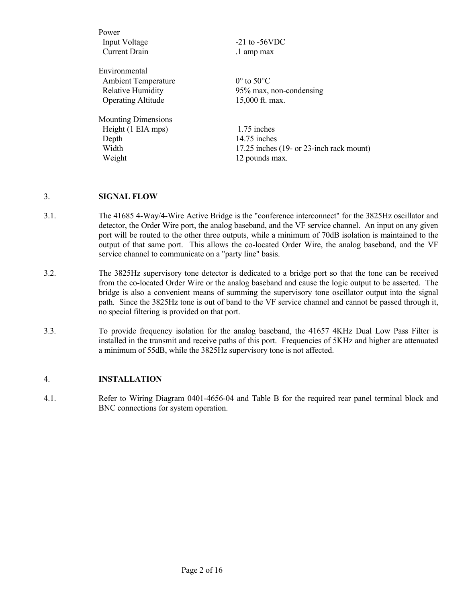| Power                      |                                              |
|----------------------------|----------------------------------------------|
| Input Voltage              | $-21$ to $-56$ VDC                           |
| <b>Current Drain</b>       | .1 amp max                                   |
| Environmental              |                                              |
| <b>Ambient Temperature</b> | $0^{\circ}$ to $50^{\circ}$ C                |
| <b>Relative Humidity</b>   | 95% max, non-condensing                      |
| <b>Operating Altitude</b>  | 15,000 ft. max.                              |
| <b>Mounting Dimensions</b> |                                              |
| Height (1 EIA mps)         | 1.75 inches                                  |
| Depth                      | 14.75 inches                                 |
| Width                      | 17.25 inches $(19 - or 23$ -inch rack mount) |
| Weight                     | 12 pounds max.                               |
|                            |                                              |

### 3. **SIGNAL FLOW**

- 3.1. The 41685 4-Way/4-Wire Active Bridge is the "conference interconnect" for the 3825Hz oscillator and detector, the Order Wire port, the analog baseband, and the VF service channel. An input on any given port will be routed to the other three outputs, while a minimum of 70dB isolation is maintained to the output of that same port. This allows the co-located Order Wire, the analog baseband, and the VF service channel to communicate on a "party line" basis.
- 3.2. The 3825Hz supervisory tone detector is dedicated to a bridge port so that the tone can be received from the co-located Order Wire or the analog baseband and cause the logic output to be asserted. The bridge is also a convenient means of summing the supervisory tone oscillator output into the signal path. Since the 3825Hz tone is out of band to the VF service channel and cannot be passed through it, no special filtering is provided on that port.
- 3.3. To provide frequency isolation for the analog baseband, the 41657 4KHz Dual Low Pass Filter is installed in the transmit and receive paths of this port. Frequencies of 5KHz and higher are attenuated a minimum of 55dB, while the 3825Hz supervisory tone is not affected.

## 4. **INSTALLATION**

4.1. Refer to Wiring Diagram 0401-4656-04 and Table B for the required rear panel terminal block and BNC connections for system operation.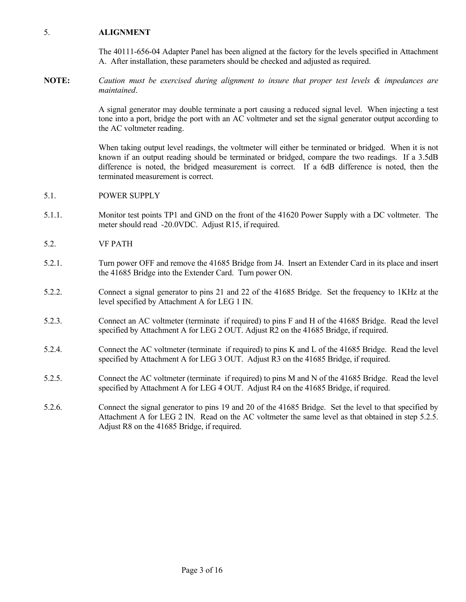## 5. **ALIGNMENT**

 The 40111-656-04 Adapter Panel has been aligned at the factory for the levels specified in Attachment A. After installation, these parameters should be checked and adjusted as required.

**NOTE:** *Caution must be exercised during alignment to insure that proper test levels & impedances are maintained*.

> A signal generator may double terminate a port causing a reduced signal level. When injecting a test tone into a port, bridge the port with an AC voltmeter and set the signal generator output according to the AC voltmeter reading.

> When taking output level readings, the voltmeter will either be terminated or bridged. When it is not known if an output reading should be terminated or bridged, compare the two readings. If a 3.5dB difference is noted, the bridged measurement is correct. If a 6dB difference is noted, then the terminated measurement is correct.

- 5.1. POWER SUPPLY
- 5.1.1. Monitor test points TP1 and GND on the front of the 41620 Power Supply with a DC voltmeter. The meter should read -20.0VDC. Adjust R15, if required.
- 5.2. VF PATH
- 5.2.1. Turn power OFF and remove the 41685 Bridge from J4. Insert an Extender Card in its place and insert the 41685 Bridge into the Extender Card. Turn power ON.
- 5.2.2. Connect a signal generator to pins 21 and 22 of the 41685 Bridge. Set the frequency to 1KHz at the level specified by Attachment A for LEG 1 IN.
- 5.2.3. Connect an AC voltmeter (terminate if required) to pins F and H of the 41685 Bridge. Read the level specified by Attachment A for LEG 2 OUT. Adjust R2 on the 41685 Bridge, if required.
- 5.2.4. Connect the AC voltmeter (terminate if required) to pins K and L of the 41685 Bridge. Read the level specified by Attachment A for LEG 3 OUT. Adjust R3 on the 41685 Bridge, if required.
- 5.2.5. Connect the AC voltmeter (terminate if required) to pins M and N of the 41685 Bridge. Read the level specified by Attachment A for LEG 4 OUT. Adjust R4 on the 41685 Bridge, if required.
- 5.2.6. Connect the signal generator to pins 19 and 20 of the 41685 Bridge. Set the level to that specified by Attachment A for LEG 2 IN. Read on the AC voltmeter the same level as that obtained in step 5.2.5. Adjust R8 on the 41685 Bridge, if required.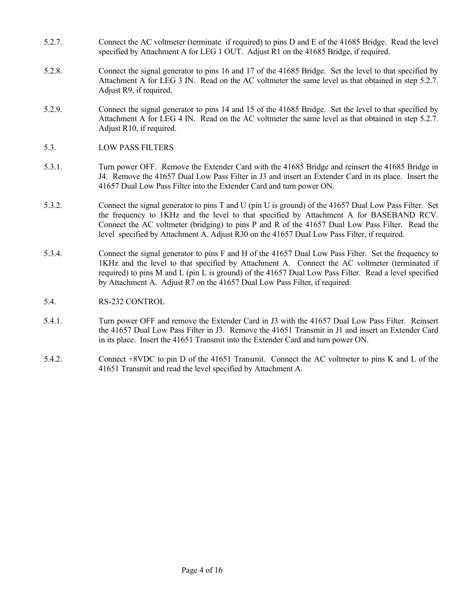- 5.2.7. Connect the AC voltmeter (terminate if required) to pins D and E of the 41685 Bridge. Read the level specified by Attachment A for LEG 1 OUT. Adjust R1 on the 41685 Bridge, if required.
- 5.2.8. Connect the signal generator to pins 16 and 17 of the 41685 Bridge. Set the level to that specified by Attachment A for LEG 3 IN. Read on the AC voltmeter the same level as that obtained in step 5.2.7. Adjust R9, if required.
- 5.2.9. Connect the signal generator to pins 14 and 15 of the 41685 Bridge. Set the level to that specified by Attachment A for LEG 4 IN. Read on the AC voltmeter the same level as that obtained in step 5.2.7. Adjust R10, if required.
- 5.3. LOW PASS FILTERS
- 5.3.1. Turn power OFF. Remove the Extender Card with the 41685 Bridge and reinsert the 41685 Bridge in J4. Remove the 41657 Dual Low Pass Filter in J3 and insert an Extender Card in its place. Insert the 41657 Dual Low Pass Filter into the Extender Card and turn power ON.
- 5.3.2. Connect the signal generator to pins T and U (pin U is ground) of the 41657 Dual Low Pass Filter. Set the frequency to 1KHz and the level to that specified by Attachment A for BASEBAND RCV. Connect the AC voltmeter (bridging) to pins P and R of the 41657 Dual Low Pass Filter. Read the level specified by Attachment A. Adjust R30 on the 41657 Dual Low Pass Filter, if required.
- 5.3.4. Connect the signal generator to pins F and H of the 41657 Dual Low Pass Filter. Set the frequency to 1KHz and the level to that specified by Attachment A. Connect the AC voltmeter (terminated if required) to pins M and L (pin L is ground) of the 41657 Dual Low Pass Filter. Read a level specified by Attachment A. Adjust R7 on the 41657 Dual Low Pass Filter, if required.
- 5.4. RS-232 CONTROL
- 5.4.1. Turn power OFF and remove the Extender Card in J3 with the 41657 Dual Low Pass Filter. Reinsert the 41657 Dual Low Pass Filter in J3. Remove the 41651 Transmit in J1 and insert an Extender Card in its place. Insert the 41651 Transmit into the Extender Card and turn power ON.
- 5.4.2. Connect +8VDC to pin D of the 41651 Transmit. Connect the AC voltmeter to pins K and L of the 41651 Transmit and read the level specified by Attachment A.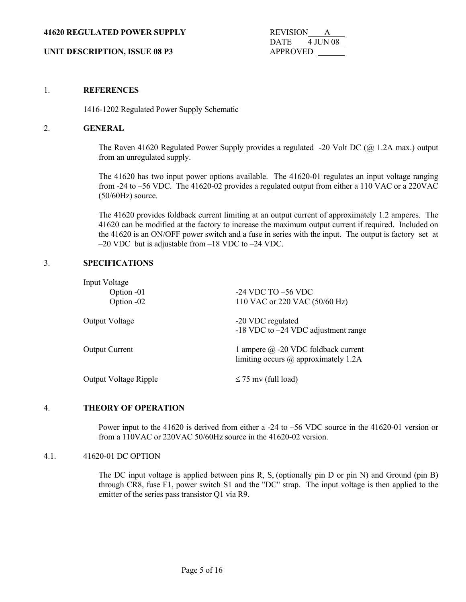#### **41620 REGULATED POWER SUPPLY** REVISION A

DATE 4 JUN 08

# **UNIT DESCRIPTION, ISSUE 08 P3** APPROVED

#### 1. **REFERENCES**

1416-1202 Regulated Power Supply Schematic

#### 2. **GENERAL**

The Raven 41620 Regulated Power Supply provides a regulated  $-20$  Volt DC ( $\omega$ ) 1.2A max.) output from an unregulated supply.

 The 41620 has two input power options available. The 41620-01 regulates an input voltage ranging from -24 to –56 VDC. The 41620-02 provides a regulated output from either a 110 VAC or a 220VAC (50/60Hz) source.

 The 41620 provides foldback current limiting at an output current of approximately 1.2 amperes. The 41620 can be modified at the factory to increase the maximum output current if required. Included on the 41620 is an ON/OFF power switch and a fuse in series with the input. The output is factory set at –20 VDC but is adjustable from –18 VDC to –24 VDC.

# 3. **SPECIFICATIONS**

| Input Voltage                |                                                                                    |
|------------------------------|------------------------------------------------------------------------------------|
| Option -01                   | $-24$ VDC TO $-56$ VDC                                                             |
| Option -02                   | 110 VAC or 220 VAC (50/60 Hz)                                                      |
| Output Voltage               | -20 VDC regulated<br>$-18$ VDC to $-24$ VDC adjustment range                       |
| <b>Output Current</b>        | 1 ampere $\omega$ -20 VDC foldback current<br>limiting occurs @ approximately 1.2A |
| <b>Output Voltage Ripple</b> | $\leq$ 75 mv (full load)                                                           |

#### 4. **THEORY OF OPERATION**

 Power input to the 41620 is derived from either a -24 to –56 VDC source in the 41620-01 version or from a 110VAC or 220VAC 50/60Hz source in the 41620-02 version.

## 4.1. 41620-01 DC OPTION

The DC input voltage is applied between pins R, S, (optionally pin D or pin N) and Ground (pin B) through CR8, fuse F1, power switch S1 and the "DC" strap. The input voltage is then applied to the emitter of the series pass transistor Q1 via R9.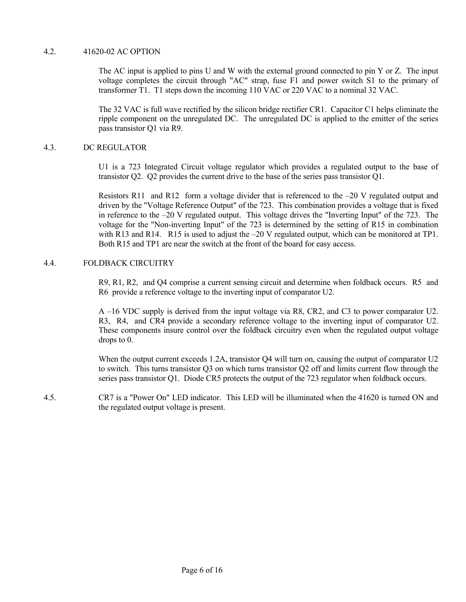## 4.2. 41620-02 AC OPTION

 The AC input is applied to pins U and W with the external ground connected to pin Y or Z. The input voltage completes the circuit through "AC" strap, fuse F1 and power switch S1 to the primary of transformer T1. T1 steps down the incoming 110 VAC or 220 VAC to a nominal 32 VAC.

 The 32 VAC is full wave rectified by the silicon bridge rectifier CR1. Capacitor C1 helps eliminate the ripple component on the unregulated DC. The unregulated DC is applied to the emitter of the series pass transistor Q1 via R9.

## 4.3. DC REGULATOR

 U1 is a 723 Integrated Circuit voltage regulator which provides a regulated output to the base of transistor Q2. Q2 provides the current drive to the base of the series pass transistor Q1.

Resistors R11 and R12 form a voltage divider that is referenced to the  $-20$  V regulated output and driven by the "Voltage Reference Output" of the 723. This combination provides a voltage that is fixed in reference to the –20 V regulated output. This voltage drives the "Inverting Input" of the 723. The voltage for the "Non-inverting Input" of the 723 is determined by the setting of R15 in combination with R13 and R14. R15 is used to adjust the –20 V regulated output, which can be monitored at TP1. Both R15 and TP1 are near the switch at the front of the board for easy access.

## 4.4. FOLDBACK CIRCUITRY

 R9, R1, R2, and Q4 comprise a current sensing circuit and determine when foldback occurs. R5 and R6 provide a reference voltage to the inverting input of comparator U2.

 A –16 VDC supply is derived from the input voltage via R8, CR2, and C3 to power comparator U2. R3, R4, and CR4 provide a secondary reference voltage to the inverting input of comparator U2. These components insure control over the foldback circuitry even when the regulated output voltage drops to 0.

When the output current exceeds 1.2A, transistor Q4 will turn on, causing the output of comparator U2 to switch. This turns transistor Q3 on which turns transistor Q2 off and limits current flow through the series pass transistor Q1. Diode CR5 protects the output of the 723 regulator when foldback occurs.

4.5. CR7 is a "Power On" LED indicator. This LED will be illuminated when the 41620 is turned ON and the regulated output voltage is present.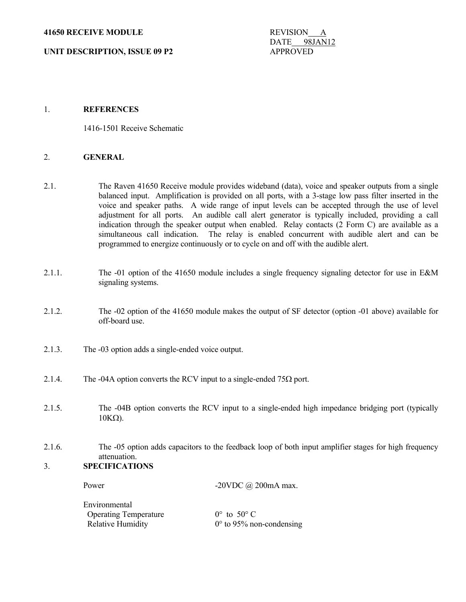**UNIT DESCRIPTION, ISSUE 09 P2** APPROVED

DATE 98JAN12

## 1. **REFERENCES**

1416-1501 Receive Schematic

### 2. **GENERAL**

- 2.1. The Raven 41650 Receive module provides wideband (data), voice and speaker outputs from a single balanced input. Amplification is provided on all ports, with a 3-stage low pass filter inserted in the voice and speaker paths. A wide range of input levels can be accepted through the use of level adjustment for all ports. An audible call alert generator is typically included, providing a call indication through the speaker output when enabled. Relay contacts (2 Form C) are available as a simultaneous call indication. The relay is enabled concurrent with audible alert and can be programmed to energize continuously or to cycle on and off with the audible alert.
- 2.1.1. The -01 option of the 41650 module includes a single frequency signaling detector for use in E&M signaling systems.
- 2.1.2. The -02 option of the 41650 module makes the output of SF detector (option -01 above) available for off-board use.
- 2.1.3. The -03 option adds a single-ended voice output.
- 2.1.4. The -04A option converts the RCV input to a single-ended  $75\Omega$  port.
- 2.1.5. The -04B option converts the RCV input to a single-ended high impedance bridging port (typically  $10KΩ$ ).
- 2.1.6. The -05 option adds capacitors to the feedback loop of both input amplifier stages for high frequency attenuation.

# 3. **SPECIFICATIONS**

Power -20VDC @ 200mA max. Environmental Operating Temperature  $0^{\circ}$  to 50° C Relative Humidity  $0^\circ$  to 95% non-condensing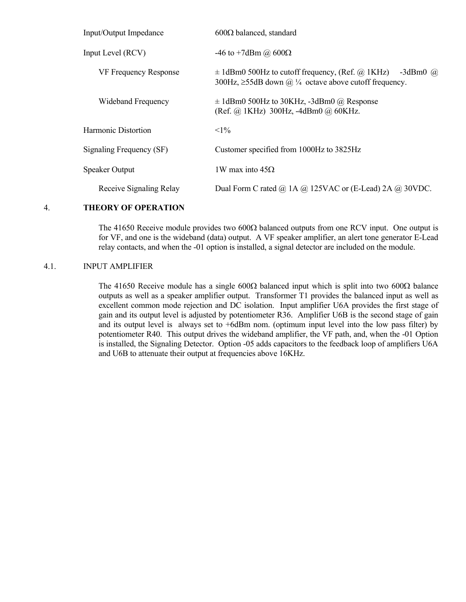| Input/Output Impedance       | $600\Omega$ balanced, standard                                                                                                              |
|------------------------------|---------------------------------------------------------------------------------------------------------------------------------------------|
| Input Level (RCV)            | -46 to +7dBm @ $600\Omega$                                                                                                                  |
| <b>VF Frequency Response</b> | $\pm$ 1dBm0 500Hz to cutoff frequency, (Ref. @ 1KHz)<br>$-3dBm0$ ( <i>a</i> )<br>300Hz, $\geq$ 55dB down @ ¼ octave above cutoff frequency. |
| Wideband Frequency           | $\pm$ 1dBm0 500Hz to 30KHz, -3dBm0 @ Response<br>$(Ref. @ 1KHz) 300Hz, -4dBm0 @ 60KHz.$                                                     |
| Harmonic Distortion          | $<1\%$                                                                                                                                      |
| Signaling Frequency (SF)     | Customer specified from 1000Hz to 3825Hz                                                                                                    |
| <b>Speaker Output</b>        | 1W max into $45\Omega$                                                                                                                      |
| Receive Signaling Relay      | Dual Form C rated @ 1A @ 125VAC or (E-Lead) 2A @ 30VDC.                                                                                     |

## 4. **THEORY OF OPERATION**

The 41650 Receive module provides two  $600\Omega$  balanced outputs from one RCV input. One output is for VF, and one is the wideband (data) output. A VF speaker amplifier, an alert tone generator E-Lead relay contacts, and when the -01 option is installed, a signal detector are included on the module.

## 4.1. INPUT AMPLIFIER

The 41650 Receive module has a single 600 $\Omega$  balanced input which is split into two 600 $\Omega$  balance outputs as well as a speaker amplifier output. Transformer T1 provides the balanced input as well as excellent common mode rejection and DC isolation. Input amplifier U6A provides the first stage of gain and its output level is adjusted by potentiometer R36. Amplifier U6B is the second stage of gain and its output level is always set to +6dBm nom. (optimum input level into the low pass filter) by potentiometer R40. This output drives the wideband amplifier, the VF path, and, when the -01 Option is installed, the Signaling Detector. Option -05 adds capacitors to the feedback loop of amplifiers U6A and U6B to attenuate their output at frequencies above 16KHz.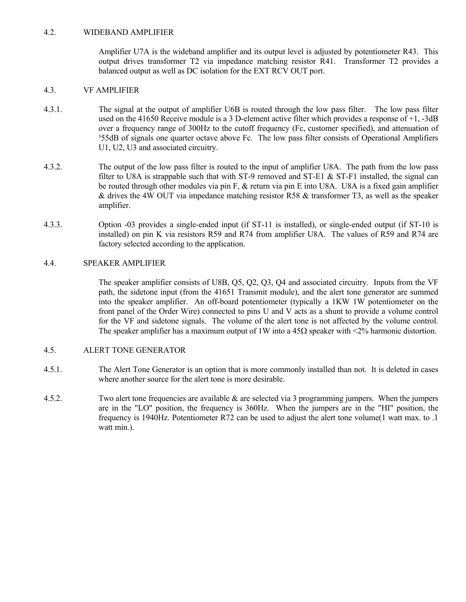## 4.2. WIDEBAND AMPLIFIER

 Amplifier U7A is the wideband amplifier and its output level is adjusted by potentiometer R43. This output drives transformer T2 via impedance matching resistor R41. Transformer T2 provides a balanced output as well as DC isolation for the EXT RCV OUT port.

## 4.3. VF AMPLIFIER

- 4.3.1. The signal at the output of amplifier U6B is routed through the low pass filter. The low pass filter used on the 41650 Receive module is a 3 D-element active filter which provides a response of +1, -3dB over a frequency range of 300Hz to the cutoff frequency (Fc, customer specified), and attenuation of <sup>355dB</sup> of signals one quarter octave above Fc. The low pass filter consists of Operational Amplifiers U1, U2, U3 and associated circuitry.
- 4.3.2. The output of the low pass filter is routed to the input of amplifier U8A. The path from the low pass filter to U8A is strappable such that with ST-9 removed and ST-E1  $\&$  ST-F1 installed, the signal can be routed through other modules via pin F, & return via pin E into U8A. U8A is a fixed gain amplifier & drives the 4W OUT via impedance matching resistor R58 & transformer T3, as well as the speaker amplifier.
- 4.3.3. Option -03 provides a single-ended input (if ST-11 is installed), or single-ended output (if ST-10 is installed) on pin K via resistors R59 and R74 from amplifier U8A. The values of R59 and R74 are factory selected according to the application.

# 4.4. SPEAKER AMPLIFIER

 The speaker amplifier consists of U8B, Q5, Q2, Q3, Q4 and associated circuitry. Inputs from the VF path, the sidetone input (from the 41651 Transmit module), and the alert tone generator are summed into the speaker amplifier. An off-board potentiometer (typically a 1KW 1W potentiometer on the front panel of the Order Wire) connected to pins U and V acts as a shunt to provide a volume control for the VF and sidetone signals. The volume of the alert tone is not affected by the volume control. The speaker amplifier has a maximum output of 1W into a  $45\Omega$  speaker with <2% harmonic distortion.

## 4.5. ALERT TONE GENERATOR

- 4.5.1. The Alert Tone Generator is an option that is more commonly installed than not. It is deleted in cases where another source for the alert tone is more desirable.
- 4.5.2. Two alert tone frequencies are available & are selected via 3 programming jumpers. When the jumpers are in the "LO" position, the frequency is 360Hz. When the jumpers are in the "HI" position, the frequency is 1940Hz. Potentiometer R72 can be used to adjust the alert tone volume(1 watt max. to .1 watt min.).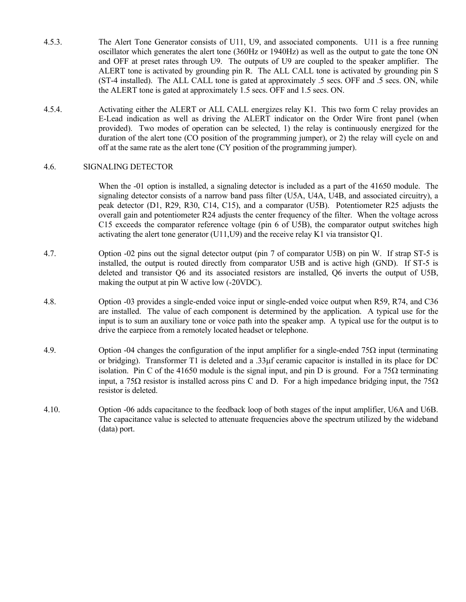- 4.5.3. The Alert Tone Generator consists of U11, U9, and associated components. U11 is a free running oscillator which generates the alert tone (360Hz or 1940Hz) as well as the output to gate the tone ON and OFF at preset rates through U9. The outputs of U9 are coupled to the speaker amplifier. The ALERT tone is activated by grounding pin R. The ALL CALL tone is activated by grounding pin S (ST-4 installed). The ALL CALL tone is gated at approximately .5 secs. OFF and .5 secs. ON, while the ALERT tone is gated at approximately 1.5 secs. OFF and 1.5 secs. ON.
- 4.5.4. Activating either the ALERT or ALL CALL energizes relay K1. This two form C relay provides an E-Lead indication as well as driving the ALERT indicator on the Order Wire front panel (when provided). Two modes of operation can be selected, 1) the relay is continuously energized for the duration of the alert tone (CO position of the programming jumper), or 2) the relay will cycle on and off at the same rate as the alert tone (CY position of the programming jumper).

## 4.6. SIGNALING DETECTOR

When the -01 option is installed, a signaling detector is included as a part of the 41650 module. The signaling detector consists of a narrow band pass filter (U5A, U4A, U4B, and associated circuitry), a peak detector (D1, R29, R30, C14, C15), and a comparator (U5B). Potentiometer R25 adjusts the overall gain and potentiometer R24 adjusts the center frequency of the filter. When the voltage across C15 exceeds the comparator reference voltage (pin 6 of U5B), the comparator output switches high activating the alert tone generator (U11,U9) and the receive relay K1 via transistor Q1.

- 4.7. Option -02 pins out the signal detector output (pin 7 of comparator U5B) on pin W. If strap ST-5 is installed, the output is routed directly from comparator U5B and is active high (GND). If ST-5 is deleted and transistor Q6 and its associated resistors are installed, Q6 inverts the output of U5B, making the output at pin W active low (-20VDC).
- 4.8. Option -03 provides a single-ended voice input or single-ended voice output when R59, R74, and C36 are installed. The value of each component is determined by the application. A typical use for the input is to sum an auxiliary tone or voice path into the speaker amp. A typical use for the output is to drive the earpiece from a remotely located headset or telephone.
- 4.9. Option -04 changes the configuration of the input amplifier for a single-ended 75 $\Omega$  input (terminating or bridging). Transformer T1 is deleted and a .33µf ceramic capacitor is installed in its place for DC isolation. Pin C of the 41650 module is the signal input, and pin D is ground. For a 75 $Ω$  terminating input, a 75 $\Omega$  resistor is installed across pins C and D. For a high impedance bridging input, the 75 $\Omega$ resistor is deleted.
- 4.10. Option -06 adds capacitance to the feedback loop of both stages of the input amplifier, U6A and U6B. The capacitance value is selected to attenuate frequencies above the spectrum utilized by the wideband (data) port.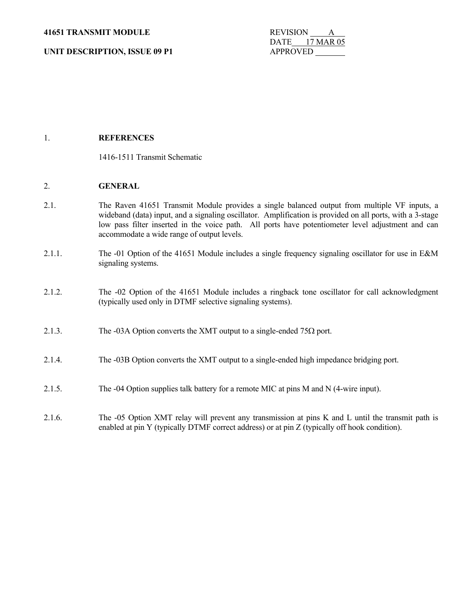**41651 TRANSMIT MODULE** REVISION

**UNIT DESCRIPTION, ISSUE 09 P1** APPROVED

DATE 17 MAR 05

# 1. **REFERENCES**

1416-1511 Transmit Schematic

## 2. **GENERAL**

- 2.1. The Raven 41651 Transmit Module provides a single balanced output from multiple VF inputs, a wideband (data) input, and a signaling oscillator. Amplification is provided on all ports, with a 3-stage low pass filter inserted in the voice path. All ports have potentiometer level adjustment and can accommodate a wide range of output levels.
- 2.1.1. The -01 Option of the 41651 Module includes a single frequency signaling oscillator for use in E&M signaling systems.
- 2.1.2. The -02 Option of the 41651 Module includes a ringback tone oscillator for call acknowledgment (typically used only in DTMF selective signaling systems).
- 2.1.3. The -03A Option converts the XMT output to a single-ended 75 $\Omega$  port.
- 2.1.4. The -03B Option converts the XMT output to a single-ended high impedance bridging port.
- 2.1.5. The -04 Option supplies talk battery for a remote MIC at pins M and N (4-wire input).
- 2.1.6. The -05 Option XMT relay will prevent any transmission at pins K and L until the transmit path is enabled at pin Y (typically DTMF correct address) or at pin Z (typically off hook condition).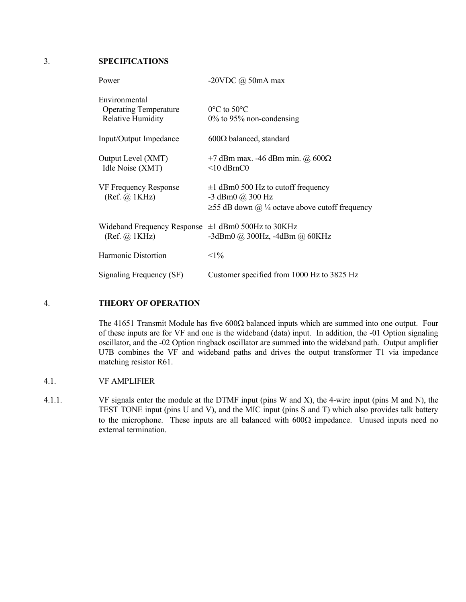3. **SPECIFICATIONS**

| Power                                                                     | -20VDC $\omega$ 50mA max                                                                                               |
|---------------------------------------------------------------------------|------------------------------------------------------------------------------------------------------------------------|
| Environmental<br><b>Operating Temperature</b><br><b>Relative Humidity</b> | $0^{\circ}$ C to 50 $^{\circ}$ C<br>$0\%$ to 95% non-condensing                                                        |
| Input/Output Impedance                                                    | $600\Omega$ balanced, standard                                                                                         |
| Output Level (XMT)<br>Idle Noise (XMT)                                    | +7 dBm max. -46 dBm min. @ $600\Omega$<br>$<$ 10 dBrnC0                                                                |
| VF Frequency Response<br>(Ref. @ 1KHz)                                    | $\pm 1$ dBm0 500 Hz to cutoff frequency<br>$-3$ dBm0 $@$ 300 Hz<br>$\geq$ 55 dB down @ ¼ octave above cutoff frequency |
| Wideband Frequency Response<br>(Ref. @ 1KHz)                              | $\pm 1$ dBm0 500Hz to 30KHz<br>$-3$ dBm $0$ @ 300Hz, $-4$ dBm @ 60KHz                                                  |
| Harmonic Distortion                                                       | $<1\%$                                                                                                                 |
| Signaling Frequency (SF)                                                  | Customer specified from 1000 Hz to 3825 Hz                                                                             |

# 4. **THEORY OF OPERATION**

 The 41651 Transmit Module has five 600Ω balanced inputs which are summed into one output. Four of these inputs are for VF and one is the wideband (data) input. In addition, the -01 Option signaling oscillator, and the -02 Option ringback oscillator are summed into the wideband path. Output amplifier U7B combines the VF and wideband paths and drives the output transformer T1 via impedance matching resistor R61.

- 4.1. VF AMPLIFIER
- 4.1.1. VF signals enter the module at the DTMF input (pins W and X), the 4-wire input (pins M and N), the TEST TONE input (pins U and V), and the MIC input (pins S and T) which also provides talk battery to the microphone. These inputs are all balanced with  $600\Omega$  impedance. Unused inputs need no external termination.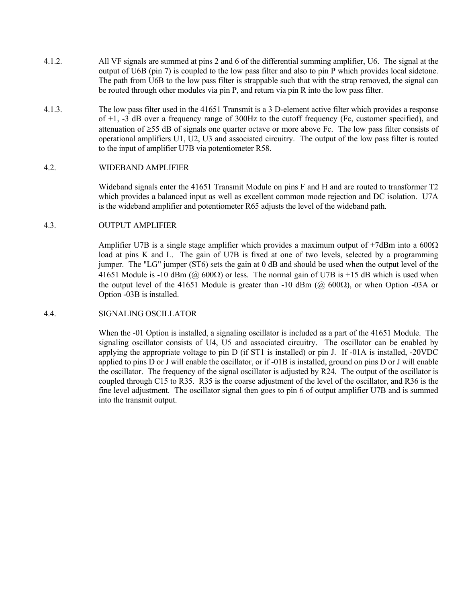- 4.1.2. All VF signals are summed at pins 2 and 6 of the differential summing amplifier, U6. The signal at the output of U6B (pin 7) is coupled to the low pass filter and also to pin P which provides local sidetone. The path from U6B to the low pass filter is strappable such that with the strap removed, the signal can be routed through other modules via pin P, and return via pin R into the low pass filter.
- 4.1.3. The low pass filter used in the 41651 Transmit is a 3 D-element active filter which provides a response of +1, -3 dB over a frequency range of 300Hz to the cutoff frequency (Fc, customer specified), and attenuation of ≥55 dB of signals one quarter octave or more above Fc. The low pass filter consists of operational amplifiers U1, U2, U3 and associated circuitry. The output of the low pass filter is routed to the input of amplifier U7B via potentiometer R58.

### 4.2. WIDEBAND AMPLIFIER

 Wideband signals enter the 41651 Transmit Module on pins F and H and are routed to transformer T2 which provides a balanced input as well as excellent common mode rejection and DC isolation. U7A is the wideband amplifier and potentiometer R65 adjusts the level of the wideband path.

# 4.3. OUTPUT AMPLIFIER

Amplifier U7B is a single stage amplifier which provides a maximum output of  $+7d$ Bm into a 600 $\Omega$ load at pins K and L. The gain of U7B is fixed at one of two levels, selected by a programming jumper. The "LG" jumper (ST6) sets the gain at 0 dB and should be used when the output level of the 41651 Module is -10 dBm ( $\omega$  600 $\Omega$ ) or less. The normal gain of U7B is +15 dB which is used when the output level of the 41651 Module is greater than -10 dBm ( $\omega$  600 $\Omega$ ), or when Option -03A or Option -03B is installed.

#### 4.4. SIGNALING OSCILLATOR

 When the -01 Option is installed, a signaling oscillator is included as a part of the 41651 Module. The signaling oscillator consists of U4, U5 and associated circuitry. The oscillator can be enabled by applying the appropriate voltage to pin D (if ST1 is installed) or pin J. If -01A is installed, -20VDC applied to pins D or J will enable the oscillator, or if -01B is installed, ground on pins D or J will enable the oscillator. The frequency of the signal oscillator is adjusted by R24. The output of the oscillator is coupled through C15 to R35. R35 is the coarse adjustment of the level of the oscillator, and R36 is the fine level adjustment. The oscillator signal then goes to pin 6 of output amplifier U7B and is summed into the transmit output.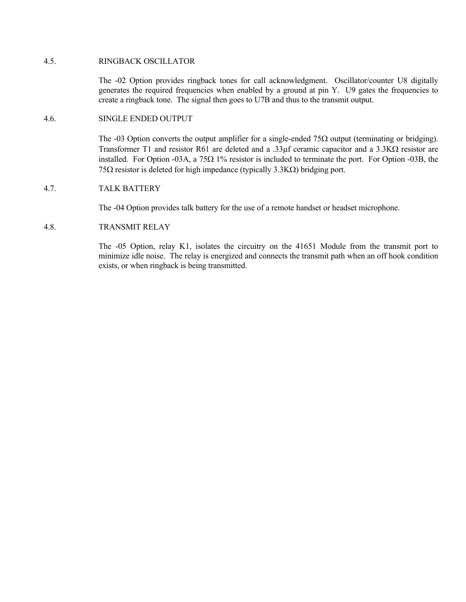### 4.5. RINGBACK OSCILLATOR

 The -02 Option provides ringback tones for call acknowledgment. Oscillator/counter U8 digitally generates the required frequencies when enabled by a ground at pin Y. U9 gates the frequencies to create a ringback tone. The signal then goes to U7B and thus to the transmit output.

#### 4.6. SINGLE ENDED OUTPUT

The -03 Option converts the output amplifier for a single-ended  $75\Omega$  output (terminating or bridging). Transformer T1 and resistor R61 are deleted and a .33µf ceramic capacitor and a 3.3KΩ resistor are installed. For Option -03A, a 75Ω 1% resistor is included to terminate the port. For Option -03B, the 75Ω resistor is deleted for high impedance (typically 3.3KΩ) bridging port.

### 4.7. TALK BATTERY

The -04 Option provides talk battery for the use of a remote handset or headset microphone.

## 4.8. TRANSMIT RELAY

 The -05 Option, relay K1, isolates the circuitry on the 41651 Module from the transmit port to minimize idle noise. The relay is energized and connects the transmit path when an off hook condition exists, or when ringback is being transmitted.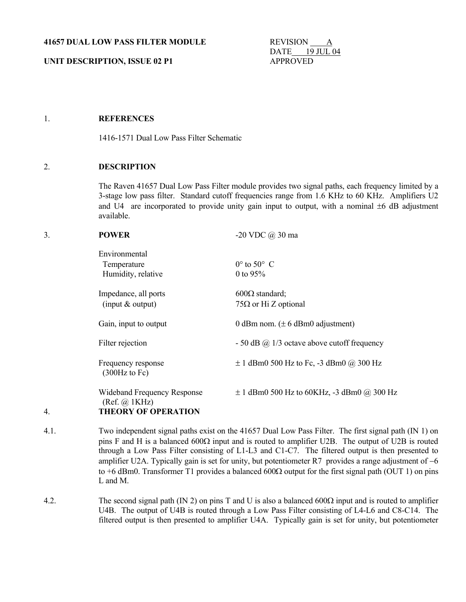**UNIT DESCRIPTION, ISSUE 02 P1** APPROVED

DATE 19 JUL 04

## 1. **REFERENCES**

1416-1571 Dual Low Pass Filter Schematic

## 2. **DESCRIPTION**

 The Raven 41657 Dual Low Pass Filter module provides two signal paths, each frequency limited by a 3-stage low pass filter. Standard cutoff frequencies range from 1.6 KHz to 60 KHz. Amplifiers U2 and U4 are incorporated to provide unity gain input to output, with a nominal  $\pm 6$  dB adjustment available.

| 3. | <b>POWER</b>                                 | $-20$ VDC $(a)$ 30 ma                               |
|----|----------------------------------------------|-----------------------------------------------------|
|    | Environmental<br>Temperature                 | $0^\circ$ to $50^\circ$ C                           |
|    | Humidity, relative                           | 0 to $95%$                                          |
|    | Impedance, all ports                         | $600\Omega$ standard;                               |
|    | (input $&$ output)                           | $75\Omega$ or Hi Z optional                         |
|    | Gain, input to output                        | 0 dBm nom. $(\pm 6$ dBm0 adjustment)                |
|    | Filter rejection                             | $-50$ dB $\omega$ 1/3 octave above cutoff frequency |
|    | Frequency response<br>$(300Hz$ to Fc)        | $\pm$ 1 dBm0 500 Hz to Fc, -3 dBm0 @ 300 Hz         |
|    | Wideband Frequency Response<br>(Ref. @ 1KHz) | $\pm$ 1 dBm0 500 Hz to 60KHz, -3 dBm0 @ 300 Hz      |
| 4. | <b>THEORY OF OPERATION</b>                   |                                                     |

- 4.1. Two independent signal paths exist on the 41657 Dual Low Pass Filter. The first signal path (IN 1) on pins F and H is a balanced 600Ω input and is routed to amplifier U2B. The output of U2B is routed through a Low Pass Filter consisting of L1-L3 and C1-C7. The filtered output is then presented to amplifier U2A. Typically gain is set for unity, but potentiometer R7 provides a range adjustment of −6 to +6 dBm0. Transformer T1 provides a balanced 600Ω output for the first signal path (OUT 1) on pins L and M.
- 4.2. The second signal path (IN 2) on pins T and U is also a balanced 600 $\Omega$  input and is routed to amplifier U4B. The output of U4B is routed through a Low Pass Filter consisting of L4-L6 and C8-C14. The filtered output is then presented to amplifier U4A. Typically gain is set for unity, but potentiometer